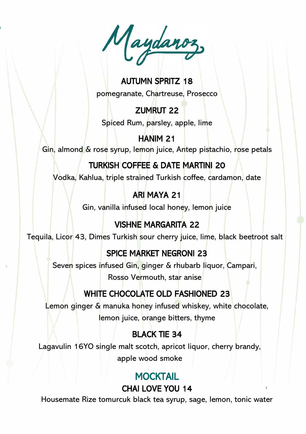$\boldsymbol{v}$ 

### AUTUMN SPRITZ 18 pomegranate, Chartreuse, Prosecco

# ZUMRUT 22

Spiced Rum, parsley, apple, lime

#### HANIM 21 Gin, almond & rose syrup, lemon juice, Antep pistachio, rose petals

# TURKISH COFFEE & DATE MARTINI 20

Vodka, Kahlua, triple strained Turkish coffee, cardamon, date

### ARI MAYA 21

Gin, vanilla infused local honey, lemon juice

# VISHNE MARGARITA 22

Tequila, Licor 43, Dimes Turkish sour cherry juice, lime, black beetroot salt

# SPICE MARKET NEGRONI 23

Seven spices infused Gin, ginger & rhubarb liquor, Campari, Rosso Vermouth, star anise

# WHITE CHOCOLATE OLD FASHIONED 23

Lemon ginger & manuka honey infused whiskey, white chocolate, lemon juice, orange bitters, thyme

# BLACK TIE 34

Lagavulin 16YO single malt scotch, apricot liquor, cherry brandy, apple wood smoke

### **MOCKTAIL** CHAI LOVE YOU 14

Housemate Rize tomurcuk black tea syrup, sage, lemon, tonic water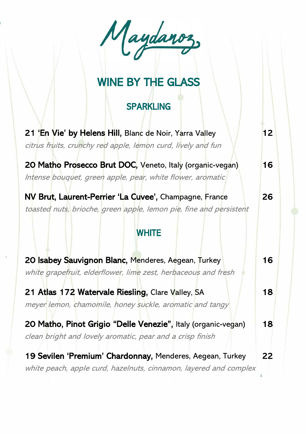Maydaroz,

# WINE BY THE GLASS

### **SPARKLING**

| 21 'En Vie' by Helens Hill, Blanc de Noir, Yarra Valley<br>citrus fruits, crunchy red apple, lemon curd, lively and fun        | 12 |
|--------------------------------------------------------------------------------------------------------------------------------|----|
| 20 Matho Prosecco Brut DOC, Veneto, Italy (organic-vegan)<br>Intense bouquet, green apple, pear, white flower, aromatic        | 16 |
| NV Brut, Laurent-Perrier 'La Cuvee', Champagne, France<br>toasted nuts, brioche, green apple, lemon pie, fine and persistent   | 26 |
| <b>WHITE</b>                                                                                                                   |    |
| 20 Isabey Sauvignon Blanc, Menderes, Aegean, Turkey<br>white grapefruit, elderflower, lime zest, herbaceous and fresh          | 16 |
| 21 Atlas 172 Watervale Riesling, Clare Valley, SA<br>meyer lemon, chamomile, honey suckle, aromatic and tangy                  | 18 |
| 20 Matho, Pinot Grigio "Delle Venezie", Italy (organic-vegan)<br>clean bright and lovely aromatic, pear and a crisp finish     | 18 |
| 19 Sevilen 'Premium' Chardonnay, Menderes, Aegean, Turkey<br>white peach, apple curd, hazelnuts, cinnamon, layered and complex | 22 |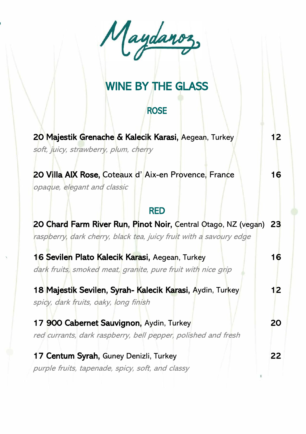$\overline{a}$ 

# WINE BY THE GLASS

### **ROSE**

| 20 Majestik Grenache & Kalecik Karasi, Aegean, Turkey                                                                                   | 12 <sub>2</sub> |
|-----------------------------------------------------------------------------------------------------------------------------------------|-----------------|
| soft, juicy, strawberry, plum, cherry                                                                                                   |                 |
| 20 Villa AIX Rose, Coteaux d'Aix-en Provence, France<br>opaque, elegant and classic                                                     | 16              |
| <b>RED</b>                                                                                                                              |                 |
| 20 Chard Farm River Run, Pinot Noir, Central Otago, NZ (vegan) 23<br>raspberry, dark cherry, black tea, juicy fruit with a savoury edge |                 |
| 16 Sevilen Plato Kalecik Karasi, Aegean, Turkey                                                                                         | 16 <sup>°</sup> |
| dark fruits, smoked meat, granite, pure fruit with nice grip                                                                            |                 |
| 18 Majestik Sevilen, Syrah- Kalecik Karasi, Aydin, Turkey                                                                               | 12 <sub>2</sub> |
| spicy, dark fruits, oaky, long finish                                                                                                   |                 |
| 17 900 Cabernet Sauvignon, Aydin, Turkey                                                                                                | 20              |
| red currants, dark raspberry, bell pepper, polished and fresh                                                                           |                 |
| 17 Centum Syrah, Guney Denizli, Turkey                                                                                                  | 22              |
| purple fruits, tapenade, spicy, soft, and classy                                                                                        |                 |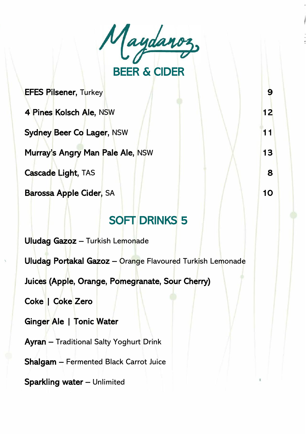$\ell$ BEER & CIDER

EFES Pilsener, Turkey 9

4 Pines Kolsch Ale, NSW 12

Sydney Beer Co Lager, NSW 11

Murray's Angry Man Pale Ale, NSW 13

Cascade Light, TAS 8

Barossa Apple Cider, SA 10

# SOFT DRINKS 5

Uludag Gazoz – Turkish Lemonade

Uludag Portakal Gazoz – Orange Flavoured Turkish Lemonade

Juices (Apple, Orange, Pomegranate, Sour Cherry)

Coke | Coke Zero

Ginger Ale | Tonic Water

Ayran – Traditional Salty Yoghurt Drink

Shalgam – Fermented Black Carrot Juice

Sparkling water – Unlimited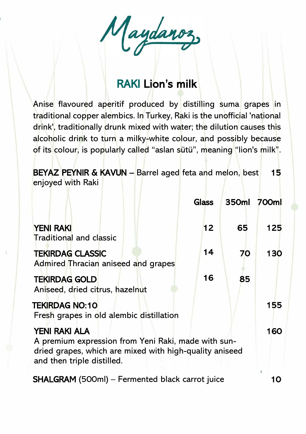Maydanoz

# RAKI Lion's milk

Anise flavoured aperitif produced by distilling suma grapes in traditional copper alembics. In Turkey, Raki is the unofficial 'national drink', traditionally drunk mixed with water; the dilution causes this alcoholic drink to turn a milky-white colour, and possibly because of its colour, is popularly called "aslan sütü", meaning "lion's milk".

BEYAZ PEYNIR & KAVUN – Barrel aged feta and melon, best 15 enjoyed with Raki

|                                                                                                                                                                      | Glass | 350ml | 700ml |
|----------------------------------------------------------------------------------------------------------------------------------------------------------------------|-------|-------|-------|
| <b>YENI RAKI</b><br><b>Traditional and classic</b>                                                                                                                   | 12    | 65    | 125   |
| <b>TEKIRDAG CLASSIC</b><br>Admired Thracian aniseed and grapes                                                                                                       | 14    | 70    | 130   |
| <b>TEKIRDAG GOLD</b><br>Aniseed, dried citrus, hazelnut                                                                                                              | 16    | 85    |       |
| <b>TEKIRDAG NO:10</b><br>Fresh grapes in old alembic distillation                                                                                                    |       |       | 155   |
| <b>YENI RAKI ALA</b><br>A premium expression from Yeni Raki, made with sun-<br>dried grapes, which are mixed with high-quality aniseed<br>and then triple distilled. |       |       | 160   |
| <b>SHALGRAM</b> (500ml) – Fermented black carrot juice                                                                                                               |       |       | 10    |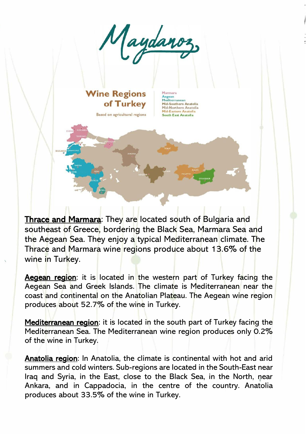

### **Wine Regions** of Turkey

Based on agricultural regions

Aegean<br>Mediterranean Mid-Southern Anatolia<br>Mid-Northern Anatolia Mid-Eastern Anatolia<br>South East Anatolia

Thrace and Marmara: They are located south of Bulgaria and southeast of Greece, bordering the Black Sea, Marmara Sea and the Aegean Sea. They enjoy a typical Mediterranean climate. The Thrace and Marmara wine regions produce about 13.6% of the wine in Turkey.

Aegean region: it is located in the western part of Turkey facing the Aegean Sea and Greek Islands. The climate is Mediterranean near the coast and continental on the Anatolian Plateau. The Aegean wine region produces about 52.7% of the wine in Turkey.

Mediterranean region: it is located in the south part of Turkey facing the Mediterranean Sea. The Mediterranean wine region produces only 0.2% of the wine in Turkey.

Anatolia region: In Anatolia, the climate is continental with hot and arid summers and cold winters. Sub-regions are located in the South-East near Iraq and Syria, in the East, close to the Black Sea, in the North, near Ankara, and in Cappadocia, in the centre of the country. Anatolia produces about 33.5% of the wine in Turkey.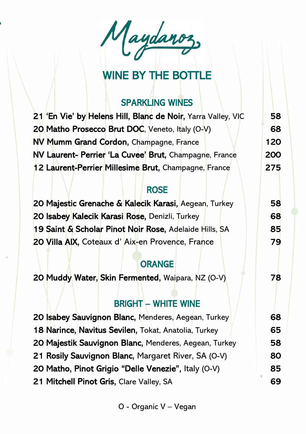Maydanoz

# WINE BY THE BOTTLE

### SPARKLING WINES

| 21 'En Vie' by Helens Hill, Blanc de Noir, Yarra Valley, VIC | 58. |
|--------------------------------------------------------------|-----|
| 20 Matho Prosecco Brut DOC, Veneto, Italy (O-V)              | 68  |
| NV Mumm Grand Cordon, Champagne, France                      | 120 |
| NV Laurent- Perrier 'La Cuvee' Brut, Champagne, France       | 200 |
| 12 Laurent-Perrier Millesime Brut, Champagne, France         | 275 |

#### ROSE

| 20 Majestic Grenache & Kalecik Karasi, Aegean, Turkey  | 58  |
|--------------------------------------------------------|-----|
| 20 Isabey Kalecik Karasi Rose, Denizli, Turkey         | 68  |
| 19 Saint & Scholar Pinot Noir Rose, Adelaide Hills, SA | 85  |
| 20 Villa AIX, Coteaux d'Aix-en Provence, France        | 79. |

#### **ORANGE**

20 Muddy Water, Skin Fermented, Waipara, NZ (O-V) 78

#### BRIGHT – WHITE WINE

20 Isabey Sauvignon Blanc, Menderes, Aegean, Turkey 18 Narince, Navitus Sevilen, Tokat, Anatolia, Turkey 65 20 Majestik Sauvignon Blanc, Menderes, Aegean, Turkey 58 21 Rosily Sauvignon Blanc, Margaret River, SA (O-V) 80 20 Matho, Pinot Grigio "Delle Venezie", Italy (O-V) 85 21 Mitchell Pinot Gris, Clare Valley, SA 69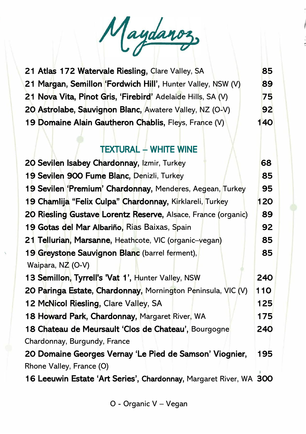Maydanoz

| 21 Atlas 172 Watervale Riesling, Clare Valley, SA           | 85         |
|-------------------------------------------------------------|------------|
| 21 Margan, Semillon 'Fordwich Hill', Hunter Valley, NSW (V) | 89         |
| 21 Nova Vita, Pinot Gris, 'Firebird' Adelaide Hills, SA (V) | 75         |
| 20 Astrolabe, Sauvignon Blanc, Awatere Valley, NZ (O-V)     | 92         |
| 19 Domaine Alain Gautheron Chablis, Fleys, France (V)       | <b>140</b> |

#### TEXTURAL – WHITE WINE

| 20 Sevilen Isabey Chardonnay, Izmir, Turkey                        | 68  |
|--------------------------------------------------------------------|-----|
| 19 Sevilen 900 Fume Blanc, Denizli, Turkey                         | 85  |
| 19 Sevilen 'Premium' Chardonnay, Menderes, Aegean, Turkey          | 95  |
| 19 Chamlija "Felix Culpa" Chardonnay, Kirklareli, Turkey           | 120 |
| 20 Riesling Gustave Lorentz Reserve, Alsace, France (organic)      | 89  |
| 19 Gotas del Mar Albariño, Rias Baixas, Spain                      | 92  |
| 21 Tellurian, Marsanne, Heathcote, VIC (organic-vegan)             | 85  |
| 19 Greystone Sauvignon Blanc (barrel ferment),                     | 85  |
| Waipara, NZ (O-V)                                                  |     |
| 13 Semillon, Tyrrell's 'Vat 1', Hunter Valley, NSW                 | 240 |
| 20 Paringa Estate, Chardonnay, Mornington Peninsula, VIC (V)       | 110 |
| 12 McNicol Riesling, Clare Valley, SA                              | 125 |
| 18 Howard Park, Chardonnay, Margaret River, WA                     | 175 |
| 18 Chateau de Meursault 'Clos de Chateau', Bourgogne               | 240 |
| Chardonnay, Burgundy, France                                       |     |
| 20 Domaine Georges Vernay 'Le Pied de Samson' Viognier,            | 195 |
| Rhone Valley, France (O)                                           |     |
| 16 Leeuwin Estate 'Art Series', Chardonnay, Margaret River, WA 300 |     |

O - Organic V – Vegan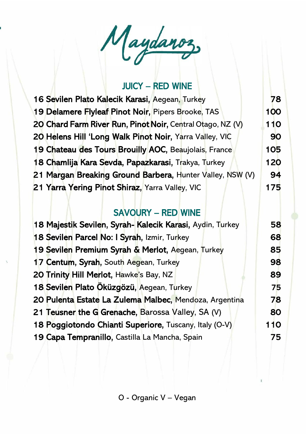Maydanoz,

#### JUICY – RED WINE

| 16 Sevilen Plato Kalecik Karasi, Aegean, Turkey            | 78  |
|------------------------------------------------------------|-----|
| 19 Delamere Flyleaf Pinot Noir, Pipers Brooke, TAS         | 100 |
| 20 Chard Farm River Run, Pinot Noir, Central Otago, NZ (V) | 110 |
| 20 Helens Hill 'Long Walk Pinot Noir, Yarra Valley, VIC    | 90  |
| 19 Chateau des Tours Brouilly AOC, Beaujolais, France      | 105 |
| 18 Chamlija Kara Sevda, Papazkarasi, Trakya, Turkey        | 120 |
| 21 Margan Breaking Ground Barbera, Hunter Valley, NSW (V)  | 94  |
| 21 Yarra Yering Pinot Shiraz, Yarra Valley, VIC            | 175 |

#### SAVOURY – RED WINE

| 18 Majestik Sevilen, Syrah-Kalecik Karasi, Aydin, Turkey | 58  |
|----------------------------------------------------------|-----|
| 18 Sevilen Parcel No: I Syrah, Izmir, Turkey             | 68  |
| 19 Sevilen Premium Syrah & Merlot, Aegean, Turkey        | 85  |
| 17 Centum, Syrah, South Aegean, Turkey                   | 98  |
| 20 Trinity Hill Merlot, Hawke's Bay, NZ                  | 89  |
| 18 Sevilen Plato Öküzgözü, Aegean, Turkey                | 75  |
| 20 Pulenta Estate La Zulema Malbec, Mendoza, Argentina   | 78  |
| 21 Teusner the G Grenache, Barossa Valley, SA (V)        | 80  |
| 18 Poggiotondo Chianti Superiore, Tuscany, Italy (O-V)   | 110 |
| 19 Capa Tempranillo, Castilla La Mancha, Spain           | 75  |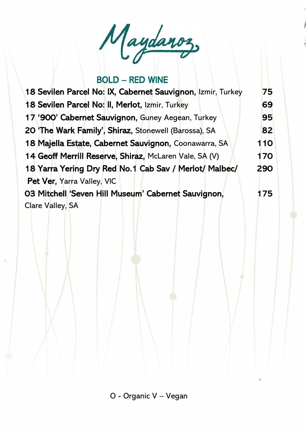

#### BOLD – RED WINE

| 18 Sevilen Parcel No: IX, Cabernet Sauvignon, Izmir, Turkey | 75  |
|-------------------------------------------------------------|-----|
| 18 Sevilen Parcel No: II, Merlot, Izmir, Turkey             | 69  |
| 17 '900' Cabernet Sauvignon, Guney Aegean, Turkey           | 95  |
| 20 'The Wark Family', Shiraz, Stonewell (Barossa), SA       | 82  |
| 18 Majella Estate, Cabernet Sauvignon, Coonawarra, SA       | 110 |
| 14 Geoff Merrill Reserve, Shiraz, McLaren Vale, SA (V)      | 170 |
| 18 Yarra Yering Dry Red No.1 Cab Sav / Merlot/ Malbec/      | 290 |
| Pet Ver, Yarra Valley, VIC                                  |     |
| 03 Mitchell 'Seven Hill Museum' Cabernet Sauvignon,         | 175 |
| Clare Valley, SA                                            |     |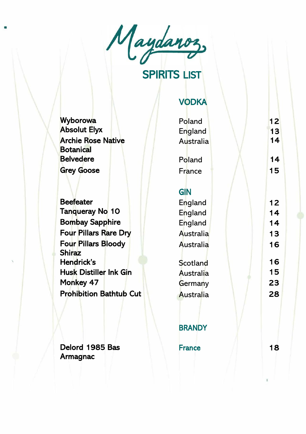

# SPIRITS LIST

#### VODKA

| Wyborowa                                      | Poland        | 12 |
|-----------------------------------------------|---------------|----|
| <b>Absolut Elyx</b>                           | England       | 13 |
| <b>Archie Rose Native</b><br><b>Botanical</b> | Australia     | 14 |
| <b>Belvedere</b>                              | Poland        | 14 |
| <b>Grey Goose</b>                             | France        | 15 |
|                                               | <b>GIN</b>    |    |
| <b>Beefeater</b>                              | England       | 12 |
| Tanqueray No 10                               | England       | 14 |
| <b>Bombay Sapphire</b>                        | England       | 14 |
| <b>Four Pillars Rare Dry</b>                  | Australia     | 13 |
| <b>Four Pillars Bloody</b><br><b>Shiraz</b>   | Australia     | 16 |
| Hendrick's                                    | Scotland      | 16 |
| <b>Husk Distiller Ink Gin</b>                 | Australia     | 15 |
| Monkey 47                                     | Germany       | 23 |
| <b>Prohibition Bathtub Cut</b>                | Australia     | 28 |
|                                               | <b>BRANDY</b> |    |
| Delord 1985 Bas<br>Armagnac                   | <b>France</b> | 18 |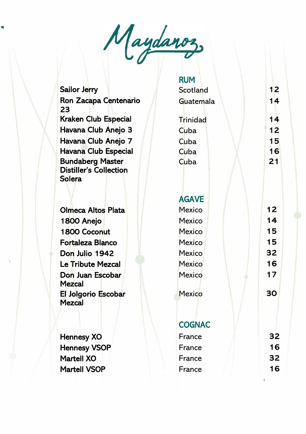

Sailor Jerry Scotland 12 Ron Zacapa Centenario 23 Kraken Club Especial T Havana Club Anejo 3 Havana Club Anejo 7 Havana Club Especial Bundaberg Master Distiller's Collection **Solera** 

**Olmeca Altos Plata** 1800 Anejo 1800 Coconut Fortaleza Blanco Don Julio 1942 Le Tribute Mezcal Don Juan Escobar **Mezcal** El Jolgorio Escobar **Mezcal** 

Hennesy XO Hennesy VSOP Martell XO F Martell VSOP FRANCE ISLE

| <b>RUM</b><br>Scotland<br>Guatemala                                                | 12<br>14                               |
|------------------------------------------------------------------------------------|----------------------------------------|
| Trinidad<br>Cuba<br>Cuba<br>Cuba<br>Cuba                                           | 14<br>12<br>15<br>16<br>21             |
| <b>AGAVE</b><br>Mexico<br>Mexico<br>Mexico<br>Mexico<br>Mexico<br>Mexico<br>Mexico | 12<br>14<br>15<br>15<br>32<br>16<br>17 |
| Mexico                                                                             | 30                                     |
| <b>COGNAC</b>                                                                      | 32                                     |
| France<br>France                                                                   | 16                                     |
| France                                                                             | 32                                     |
| France                                                                             | 16                                     |
|                                                                                    |                                        |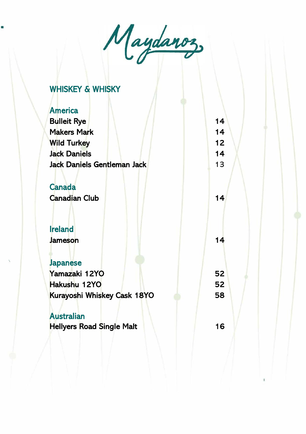

# WHISKEY & WHISKY

| <b>America</b>                   |    |  |
|----------------------------------|----|--|
| <b>Bulleit Rye</b>               | 14 |  |
| <b>Makers Mark</b>               | 14 |  |
| <b>Wild Turkey</b>               | 12 |  |
| <b>Jack Daniels</b>              | 14 |  |
| Jack Daniels Gentleman Jack      | 13 |  |
|                                  |    |  |
| <b>Canada</b>                    |    |  |
| <b>Canadian Club</b>             | 14 |  |
|                                  |    |  |
| <b>Ireland</b>                   |    |  |
| Jameson                          | 14 |  |
|                                  |    |  |
| <b>Japanese</b>                  |    |  |
| Yamazaki 12YO                    | 52 |  |
| Hakushu 12YO                     | 52 |  |
| Kurayoshi Whiskey Cask 18YO      | 58 |  |
| <b>Australian</b>                |    |  |
| <b>Hellyers Road Single Malt</b> | 16 |  |
|                                  |    |  |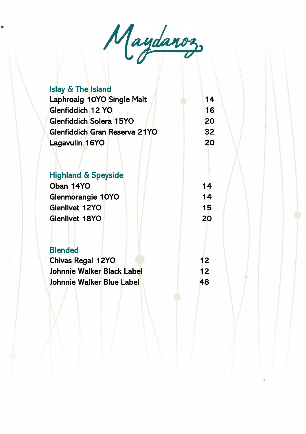Maydanoz,

Islay & The Island Laphroaig 10YO Single Malt 14 Glenfiddich 12 YO 16 Glenfiddich Solera 15YO 20 Glenfiddich Gran Reserva 21YO 32 Lagavulin 16YO 20 Highland & Speyside Oban 14YO 14 Glenmorangie 10YO 14 Glenlivet 12YO **15** Glenlivet 18YO 20 **Blended** Chivas Regal 12YO 12 Johnnie Walker Black Label 12 Johnnie Walker Blue Label 48